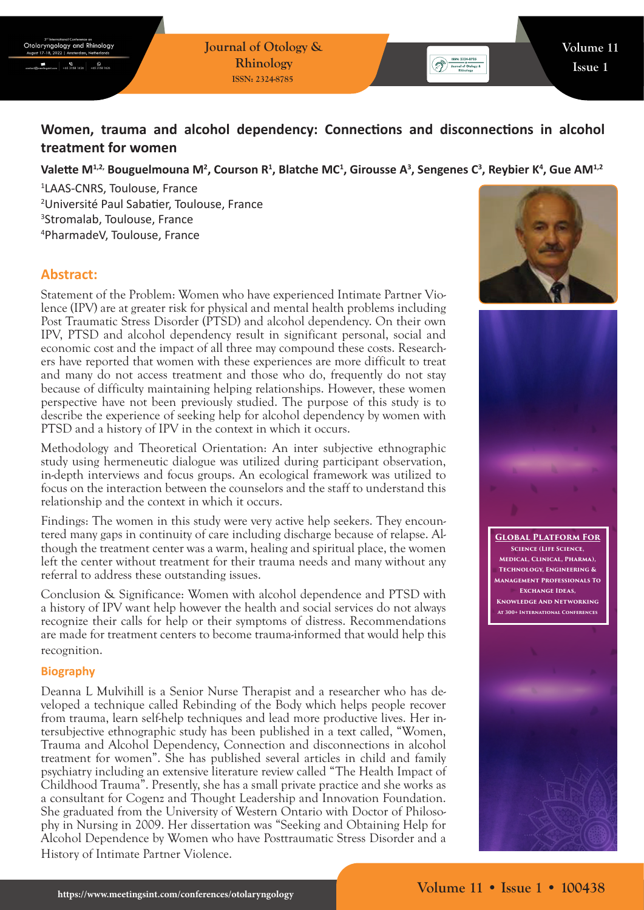$\frac{6}{16531581626}$  + 653158162

# **Women, trauma and alcohol dependency: Connections and disconnections in alcohol treatment for women**

Valette M<sup>1,2,</sup> Bouguelmouna M<sup>2</sup>, Courson R<sup>1</sup>, Blatche MC<sup>1</sup>, Girousse A<sup>3</sup>, Sengenes C<sup>3</sup>, Reybier K<sup>4</sup>, Gue AM<sup>1,2</sup>

 LAAS-CNRS, Toulouse, France Université Paul Sabatier, Toulouse, France Stromalab, Toulouse, France PharmadeV, Toulouse, France

## **Abstract:**

Statement of the Problem: Women who have experienced Intimate Partner Violence (IPV) are at greater risk for physical and mental health problems including Post Traumatic Stress Disorder (PTSD) and alcohol dependency. On their own IPV, PTSD and alcohol dependency result in significant personal, social and economic cost and the impact of all three may compound these costs. Researchers have reported that women with these experiences are more difficult to treat and many do not access treatment and those who do, frequently do not stay because of difficulty maintaining helping relationships. However, these women perspective have not been previously studied. The purpose of this study is to describe the experience of seeking help for alcohol dependency by women with PTSD and a history of IPV in the context in which it occurs.

Methodology and Theoretical Orientation: An inter subjective ethnographic study using hermeneutic dialogue was utilized during participant observation, in-depth interviews and focus groups. An ecological framework was utilized to focus on the interaction between the counselors and the staff to understand this relationship and the context in which it occurs.

Findings: The women in this study were very active help seekers. They encountered many gaps in continuity of care including discharge because of relapse. Although the treatment center was a warm, healing and spiritual place, the women left the center without treatment for their trauma needs and many without any referral to address these outstanding issues.

Conclusion & Significance: Women with alcohol dependence and PTSD with a history of IPV want help however the health and social services do not always recognize their calls for help or their symptoms of distress. Recommendations are made for treatment centers to become trauma-informed that would help this recognition.

## **Biography**

Deanna L Mulvihill is a Senior Nurse Therapist and a researcher who has developed a technique called Rebinding of the Body which helps people recover from trauma, learn self-help techniques and lead more productive lives. Her intersubjective ethnographic study has been published in a text called, "Women, Trauma and Alcohol Dependency, Connection and disconnections in alcohol treatment for women". She has published several articles in child and family psychiatry including an extensive literature review called "The Health Impact of Childhood Trauma". Presently, she has a small private practice and she works as a consultant for Cogenz and Thought Leadership and Innovation Foundation. She graduated from the University of Western Ontario with Doctor of Philosophy in Nursing in 2009. Her dissertation was "Seeking and Obtaining Help for Alcohol Dependence by Women who have Posttraumatic Stress Disorder and a History of Intimate Partner Violence.



Solve: 2324-8765